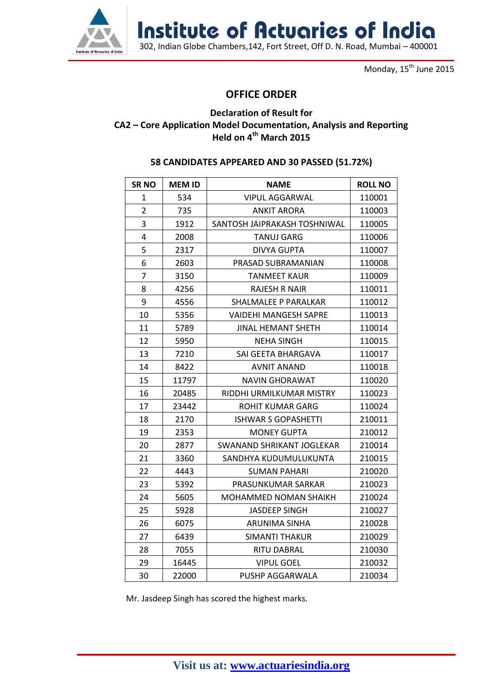

Institute of Actuaries of India

302, Indian Globe Chambers,142, Fort Street, Off D. N. Road, Mumbai – 400001

Monday, 15<sup>th</sup> June 2015

## **OFFICE ORDER**

## **Declaration of Result for CA2 – Core Application Model Documentation, Analysis and Reporting Held on 4 th March 2015**

## **CANDIDATES APPEARED AND 30 PASSED (51.72%)**

| <b>SRNO</b>    | <b>MEM ID</b> | <b>NAME</b>                  | <b>ROLL NO</b> |
|----------------|---------------|------------------------------|----------------|
| 1              | 534           | <b>VIPUL AGGARWAL</b>        | 110001         |
| $\overline{2}$ | 735           | <b>ANKIT ARORA</b>           | 110003         |
| 3              | 1912          | SANTOSH JAIPRAKASH TOSHNIWAL | 110005         |
| 4              | 2008          | TANUJ GARG                   | 110006         |
| 5              | 2317          | <b>DIVYA GUPTA</b>           | 110007         |
| 6              | 2603          | PRASAD SUBRAMANIAN           | 110008         |
| 7              | 3150          | <b>TANMEET KAUR</b>          | 110009         |
| 8              | 4256          | <b>RAJESH R NAIR</b>         | 110011         |
| 9              | 4556          | SHALMALEE P PARALKAR         | 110012         |
| 10             | 5356          | <b>VAIDEHI MANGESH SAPRE</b> | 110013         |
| 11             | 5789          | JINAL HEMANT SHETH           | 110014         |
| 12             | 5950          | NEHA SINGH                   | 110015         |
| 13             | 7210          | SAI GEETA BHARGAVA           | 110017         |
| 14             | 8422          | <b>AVNIT ANAND</b>           | 110018         |
| 15             | 11797         | NAVIN GHORAWAT               | 110020         |
| 16             | 20485         | RIDDHI URMILKUMAR MISTRY     | 110023         |
| 17             | 23442         | <b>ROHIT KUMAR GARG</b>      | 110024         |
| 18             | 2170          | <b>ISHWAR S GOPASHETTI</b>   | 210011         |
| 19             | 2353          | <b>MONEY GUPTA</b>           | 210012         |
| 20             | 2877          | SWANAND SHRIKANT JOGLEKAR    | 210014         |
| 21             | 3360          | SANDHYA KUDUMULUKUNTA        | 210015         |
| 22             | 4443          | <b>SUMAN PAHARI</b>          | 210020         |
| 23             | 5392          | PRASUNKUMAR SARKAR           | 210023         |
| 24             | 5605          | MOHAMMED NOMAN SHAIKH        | 210024         |
| 25             | 5928          | <b>JASDEEP SINGH</b>         | 210027         |
| 26             | 6075          | <b>ARUNIMA SINHA</b>         | 210028         |
| 27             | 6439          | <b>SIMANTI THAKUR</b>        | 210029         |
| 28             | 7055          | RITU DABRAL                  | 210030         |
| 29             | 16445         | <b>VIPUL GOEL</b>            | 210032         |
| 30             | 22000         | PUSHP AGGARWALA              | 210034         |

Mr. Jasdeep Singh has scored the highest marks.